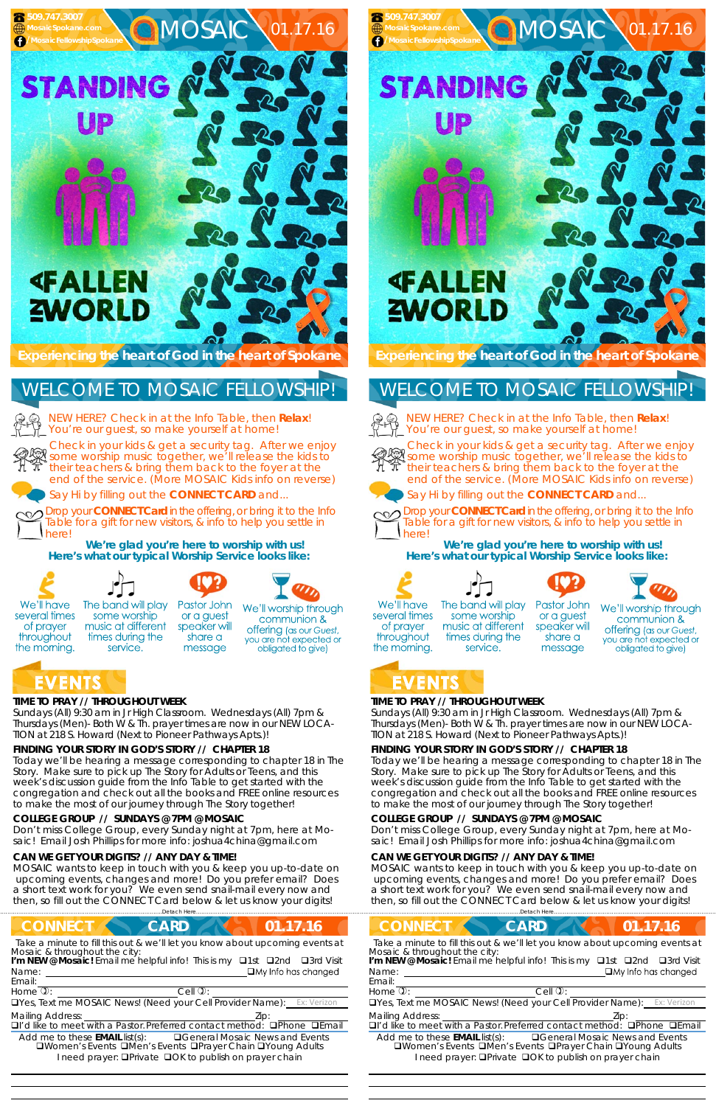### **TIME TO PRAY // THROUGHOUT WEEK**

*Sundays* (All) 9:30 am in Jr High Classroom. *Wednesdays* (All) 7pm & *Thursdays* (Men)- Both W & Th. prayer times are now in our *NEW LOCA-TION at 218 S. Howard* (Next to Pioneer Pathways Apts.)!

# **FINDING YOUR STORY IN GOD'S STORY // CHAPTER 18**

Today we'll be hearing a message corresponding to chapter 18 in The Story. Make sure to pick up The Story for Adults or Teens, and this week's discussion guide from the Info Table to get started with the congregation and check out all the books and FREE online resources to make the most of our journey through The Story together!

#### **COLLEGE GROUP // SUNDAYS @ 7PM @ MOSAIC**

Don't miss College Group, every Sunday night at 7pm, here at Mosaic! Email Josh Phillips for more info: joshua4china@gmail.com

#### **CAN WE GET YOUR DIGITS? // ANY DAY & TIME!**

MOSAIC wants to keep in touch with you & keep you up-to-date on upcoming events, changes and more! Do you prefer email? Does a short text work for you? We even send snail-mail every now and then, so fill out the CONNECT Card below & let us know your digits!

NEW HERE? Check in at the Info Table, then **Relax**! You're our guest, so make yourself at home!

Check in your kids & get a security tag. After we enjoy some worship music together, we'll release the kids to their teachers & bring them back to the foyer at the end of the service. (More MOSAIC Kids info on reverse)



Say Hi by filling out the **CONNECT CARD** and...

Drop your **CONNECT Card** in the offering, or bring it to the Info Table for a gift for new visitors, & info to help you settle in here!

**We're glad you're here to worship with us! Here's what our typical Worship Service looks like:** 



of prayer

throughout

the morning.

# WELCOME TO MOSAIC FELLOWSHIP!

Drop your **CONNECT Card** in the offering, or bring it to the Info Table for a gift for new visitors, & info to help you settle in herel

 







Pastor John We'll worship through or a guest communion & speaker will offering (as our Guest, share a you are not expected or obligated to give) message

# **EVENTS**

# **TIME TO PRAY // THROUGHOUT WEEK**

*Sundays* (All) 9:30 am in Jr High Classroom. *Wednesdays* (All) 7pm & *Thursdays* (Men)- Both W & Th. prayer times are now in our *NEW LOCA-TION at 218 S. Howard* (Next to Pioneer Pathways Apts.)!

### **FINDING YOUR STORY IN GOD'S STORY // CHAPTER 18**

Today we'll be hearing a message corresponding to chapter 18 in The Story. Make sure to pick up The Story for Adults or Teens, and this week's discussion guide from the Info Table to get started with the congregation and check out all the books and FREE online resources to make the most of our journey through The Story together!

| <b>CONNECT</b>                                                                                                                                                 | <b>CONNECT</b>                                                               |  |  |
|----------------------------------------------------------------------------------------------------------------------------------------------------------------|------------------------------------------------------------------------------|--|--|
| 01.17.16                                                                                                                                                       | 17.16                                                                        |  |  |
| <b>CARD</b>                                                                                                                                                    | <b>CARD</b>                                                                  |  |  |
| Take a minute to fill this out & we'll let you know about upcoming events at                                                                                   | Take a minute to fill this out & we'll let you know about upcoming events at |  |  |
| Mosaic & throughout the city:                                                                                                                                  | Mosaic & throughout the city:                                                |  |  |
| I'm NEW @ Mosaic! Email me helpful info! This is my <b>Q1st</b> Q2nd                                                                                           | I'm NEW @ Mosaic! Email me helpful info! This is my $\Box$ 1st $\Box$ 2nd    |  |  |
| □3rd Visit                                                                                                                                                     | $\Box$ 3rd Visit                                                             |  |  |
| $\Box$ My Info has changed                                                                                                                                     | $\Box$ My Info has changed                                                   |  |  |
| Name:                                                                                                                                                          | Name:                                                                        |  |  |
| Email:                                                                                                                                                         | Email:                                                                       |  |  |
| Home $\overline{v}$ :                                                                                                                                          | Home $\overline{v}$ :                                                        |  |  |
| Cell $\mathbb{Q}$ :                                                                                                                                            | Cell $\mathbb{Q}$ :                                                          |  |  |
| <b>OYes, Text me MOSAIC News! (Need your Cell Provider Name):</b> Ex: Verizon<br><b>OYes, Text me MOSAIC News! (Need your Cell Provider Name):</b> Ex: Verizon |                                                                              |  |  |
| <b>Mailing Address:</b>                                                                                                                                        | <b>Mailing Address:</b>                                                      |  |  |
| Zip:                                                                                                                                                           | DI'd like to meet with a Pastor. Preferred contact method:                   |  |  |
| $\Box$ I'd like to meet with a Pastor. Preferred contact method: $\Box$ Phone $\Box$ Email                                                                     | <b>O</b> Phone <b>QEmail</b>                                                 |  |  |
| Add me to these <b>EMAIL</b> list(s):                                                                                                                          | <b>QGeneral Mosaic News and Events</b>                                       |  |  |
| <b>QGeneral Mosaic News and Events</b>                                                                                                                         | Add me to these <b>EMAIL</b> list(s):                                        |  |  |
| <b>QWomen's Events QMen's Events OPrayer Chain QYoung Adults</b>                                                                                               | □Women's Events □Men's Events □Prayer Chain □Young Adults                    |  |  |
| I need prayer: <b>OPrivate OOK to publish on prayer chain</b>                                                                                                  | I need prayer: <b>QPrivate QOK to publish on prayer chain</b>                |  |  |

#### **COLLEGE GROUP // SUNDAYS @ 7PM @ MOSAIC**

Don't miss College Group, every Sunday night at 7pm, here at Mosaic! Email Josh Phillips for more info: joshua4china@gmail.com

#### **CAN WE GET YOUR DIGITS? // ANY DAY & TIME!**

MOSAIC wants to keep in touch with you & keep you up-to-date on upcoming events, changes and more! Do you prefer email? Does a short text work for you? We even send snail-mail every now and then, so fill out the CONNECT Card below & let us know your digits!

NEW HERE? Check in at the Info Table, then **Relax**! You're our guest, so make yourself at home!



Check in your kids & get a security tag. After we enjoy some worship music together, we'll release the kids to their teachers & bring them back to the foyer at the end of the service. (More MOSAIC Kids info on reverse)





Say Hi by filling out the **CONNECT CARD** and...



**We're glad you're here to worship with us! Here's what our typical Worship Service looks like:** 



of prayer

throughout



some worship

music at different

times during the

service.







Pastor John We'll worship through or a guest communion & speaker will offering (as our Guest, share a you are not expected or message obligated to give)

# the morning. EVENTS

# WELCOME TO MOSAIC FELLOWSHIP!